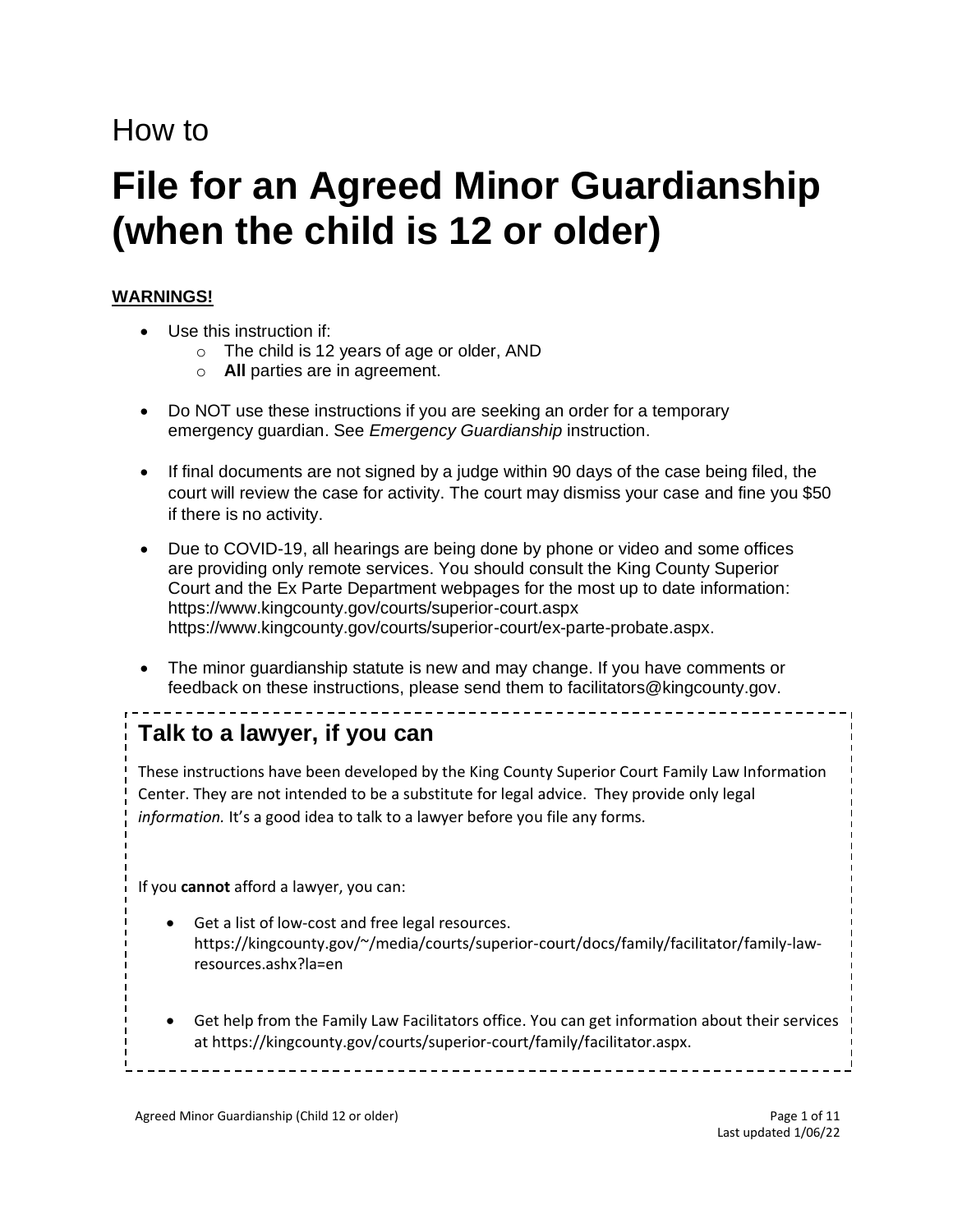# How to

# **File for an Agreed Minor Guardianship (when the child is 12 or older)**

### **WARNINGS!**

- Use this instruction if:
	- o The child is 12 years of age or older, AND
	- o **All** parties are in agreement.
- Do NOT use these instructions if you are seeking an order for a temporary emergency guardian. See *Emergency Guardianship* instruction.
- If final documents are not signed by a judge within 90 days of the case being filed, the court will review the case for activity. The court may dismiss your case and fine you \$50 if there is no activity.
- Due to COVID-19, all hearings are being done by phone or video and some offices are providing only remote services. You should consult the King County Superior Court and the Ex Parte Department webpages for the most up to date information: <https://www.kingcounty.gov/courts/superior-court.aspx> [https://www.kingcounty.gov/courts/superior-court/ex-parte-probate.aspx.](https://www.kingcounty.gov/courts/superior-court/ex-parte-probate.aspx)
- The minor guardianship statute is new and may change. If you have comments or feedback on these instructions, please send them to [facilitators@kingcounty.gov.](mailto:facilitators@kingcounty.gov)

# **Talk to a lawyer, if you can**

These instructions have been developed by the King County Superior Court Family Law Information Center. They are not intended to be a substitute for legal advice. They provide only legal *information.* It's a good idea to talk to a lawyer before you file any forms.

If you **cannot** afford a lawyer, you can:

- Get a list of low-cost and free legal resources. [https://kingcounty.gov/~/media/courts/superior-court/docs/family/facilitator/family-law](https://kingcounty.gov/~/media/courts/superior-court/docs/family/facilitator/family-law-resources.ashx?la=en)[resources.ashx?la=en](https://kingcounty.gov/~/media/courts/superior-court/docs/family/facilitator/family-law-resources.ashx?la=en)
- Get help from the Family Law Facilitators office. You can get information about their services at [https://kingcounty.gov/courts/superior-court/family/facilitator.aspx.](https://kingcounty.gov/courts/superior-court/family/facilitator.aspx)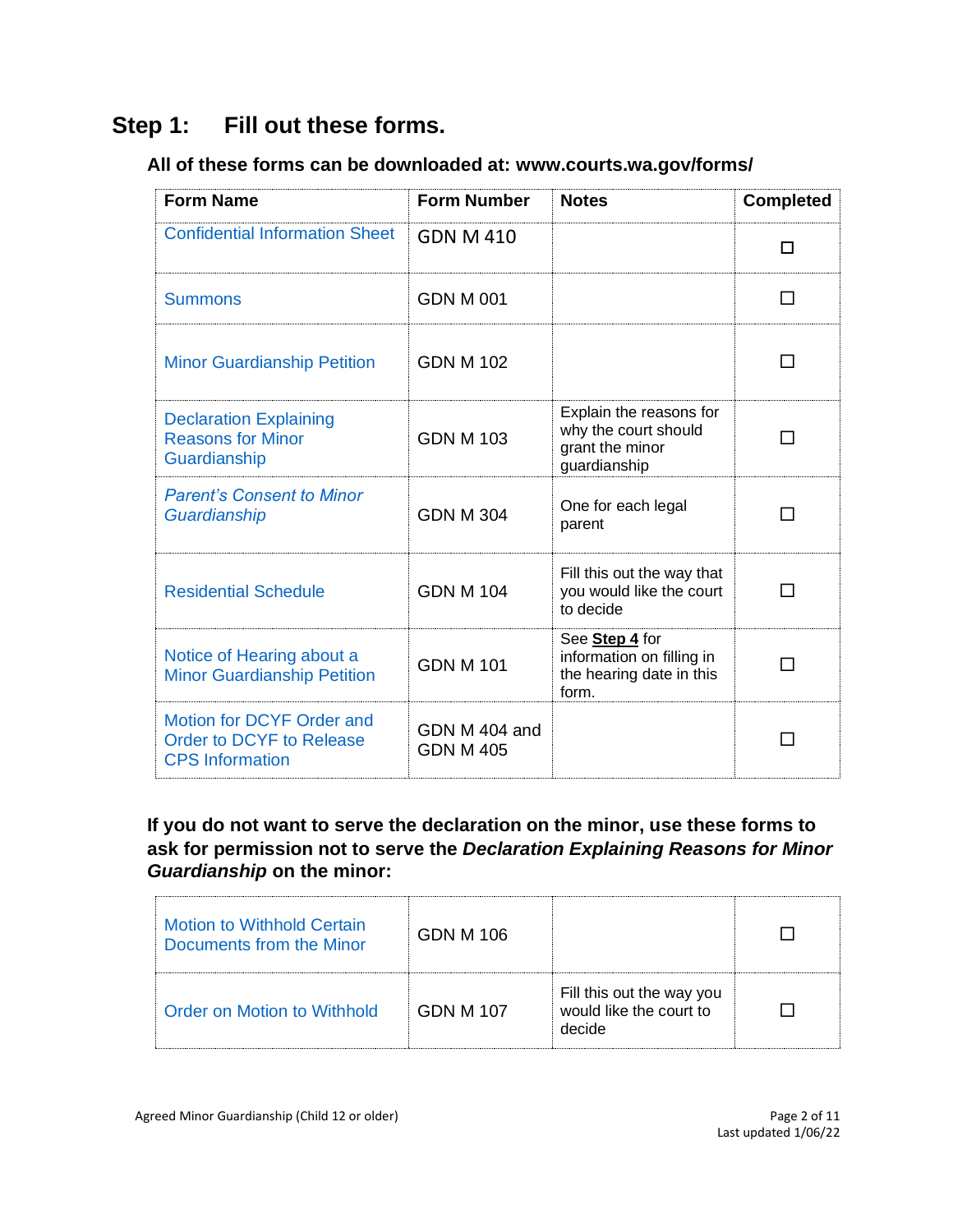# **Step 1: Fill out these forms.**

# **All of these forms can be downloaded at: [www.courts.wa.gov/forms/](http://www.courts.wa.gov/forms/)**

| <b>Form Name</b>                                                                | <b>Form Number</b>                | <b>Notes</b>                                                                       | <b>Completed</b>         |
|---------------------------------------------------------------------------------|-----------------------------------|------------------------------------------------------------------------------------|--------------------------|
| <b>Confidential Information Sheet</b>                                           | <b>GDN M 410</b>                  |                                                                                    | П                        |
| <b>Summons</b>                                                                  | <b>GDN M 001</b>                  |                                                                                    | $\blacksquare$           |
| <b>Minor Guardianship Petition</b>                                              | <b>GDN M 102</b>                  |                                                                                    | - 1                      |
| <b>Declaration Explaining</b><br><b>Reasons for Minor</b><br>Guardianship       | <b>GDN M 103</b>                  | Explain the reasons for<br>why the court should<br>grant the minor<br>guardianship |                          |
| <b>Parent's Consent to Minor</b><br>Guardianship                                | <b>GDN M 304</b>                  | One for each legal<br>parent                                                       | - 1                      |
| <b>Residential Schedule</b>                                                     | <b>GDN M 104</b>                  | Fill this out the way that<br>you would like the court<br>to decide                | - 1                      |
| Notice of Hearing about a<br><b>Minor Guardianship Petition</b>                 | <b>GDN M 101</b>                  | See Step 4 for<br>information on filling in<br>the hearing date in this<br>form.   | $\overline{\phantom{a}}$ |
| Motion for DCYF Order and<br>Order to DCYF to Release<br><b>CPS</b> Information | GDN M 404 and<br><b>GDN M 405</b> |                                                                                    |                          |

**If you do not want to serve the declaration on the minor, use these forms to ask for permission not to serve the** *Declaration Explaining Reasons for Minor Guardianship* **on the minor:**

| Motion to Withhold Certain<br>Documents from the Minor | GDN M 106        |                                                                |  |
|--------------------------------------------------------|------------------|----------------------------------------------------------------|--|
| Order on Motion to Withhold                            | <b>GDN M 107</b> | Fill this out the way you<br>would like the court to<br>decide |  |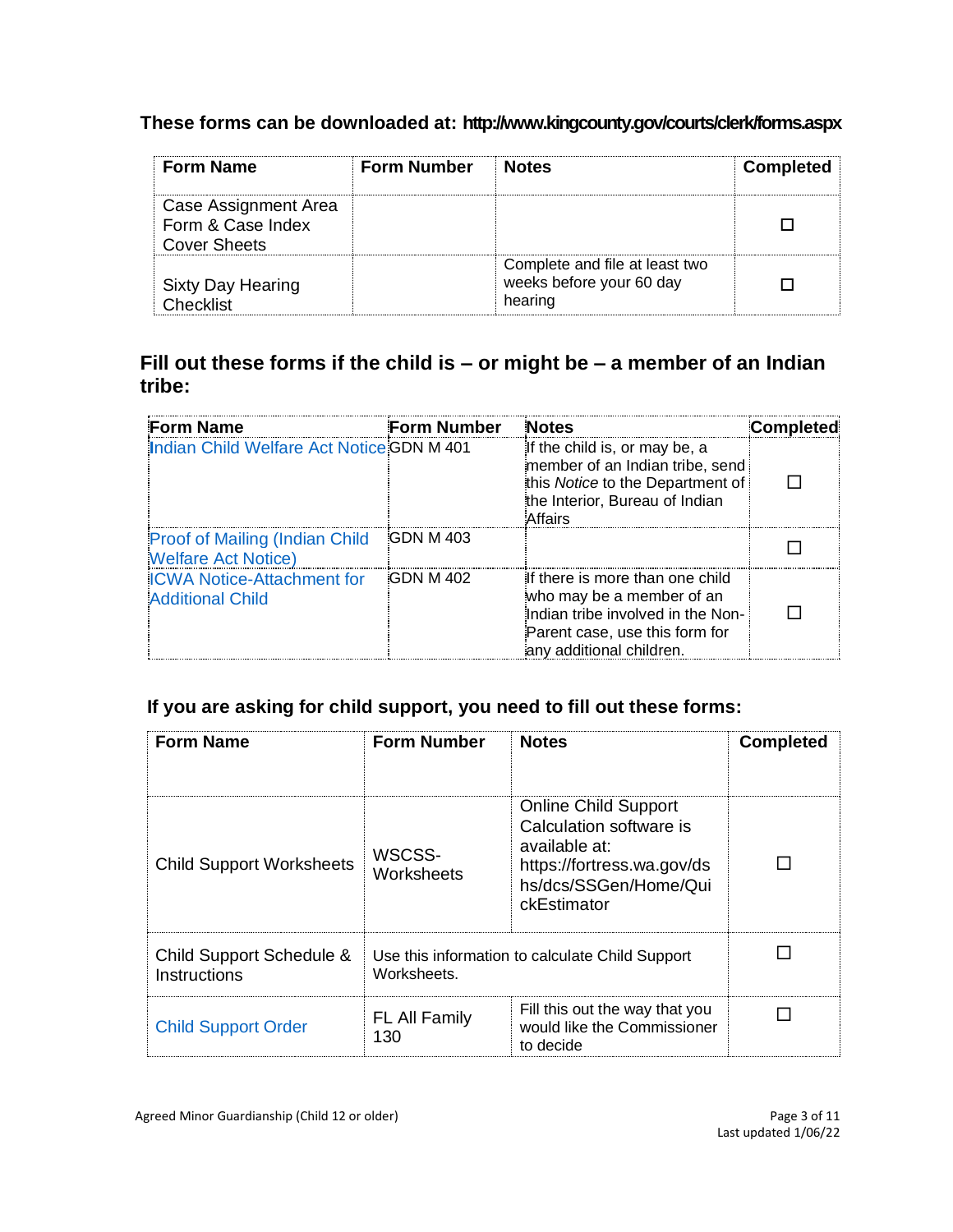# **These forms can be downloaded at:<http://www.kingcounty.gov/courts/clerk/forms.aspx>**

| <b>Form Name</b>                                          | <b>Form Number</b> | <b>Notes</b>                                                          | <b>Completed</b> |
|-----------------------------------------------------------|--------------------|-----------------------------------------------------------------------|------------------|
| Case Assignment Area<br>Form & Case Index<br>Cover Sheets |                    |                                                                       |                  |
| <b>Sixty Day Hearing</b><br>Checklist                     |                    | Complete and file at least two<br>weeks before your 60 day<br>hearing |                  |

# **Fill out these forms if the child is – or might be – a member of an Indian tribe:**

| <b>Form Name</b>                                                     | <b>Form Number</b> | <b>Notes</b>                                                                                                                                                    | Completed |
|----------------------------------------------------------------------|--------------------|-----------------------------------------------------------------------------------------------------------------------------------------------------------------|-----------|
| Indian Child Welfare Act Notice GDN M 401                            |                    | If the child is, or may be, a<br>member of an Indian tribe, send<br>this Notice to the Department of<br>the Interior, Bureau of Indian<br><b>Affairs</b>        |           |
| <b>Proof of Mailing (Indian Child)</b><br><b>Welfare Act Notice)</b> | <b>GDN M 403</b>   |                                                                                                                                                                 |           |
| <b>ICWA Notice-Attachment for</b><br><b>Additional Child</b>         | <b>GDN M 402</b>   | If there is more than one child<br>who may be a member of an<br>Indian tribe involved in the Non-<br>Parent case, use this form for<br>any additional children. |           |

# **If you are asking for child support, you need to fill out these forms:**

| <b>Form Name</b>                         | <b>Form Number</b>                                             | <b>Notes</b>                                                                                                                                  | <b>Completed</b> |
|------------------------------------------|----------------------------------------------------------------|-----------------------------------------------------------------------------------------------------------------------------------------------|------------------|
|                                          |                                                                |                                                                                                                                               |                  |
| <b>Child Support Worksheets</b>          | WSCSS-<br>Worksheets                                           | <b>Online Child Support</b><br>Calculation software is<br>available at:<br>https://fortress.wa.gov/ds<br>hs/dcs/SSGen/Home/Qui<br>ckEstimator |                  |
| Child Support Schedule &<br>Instructions | Use this information to calculate Child Support<br>Worksheets. |                                                                                                                                               |                  |
| <b>Child Support Order</b>               | <b>FL All Family</b><br>130                                    | Fill this out the way that you<br>would like the Commissioner<br>to decide                                                                    |                  |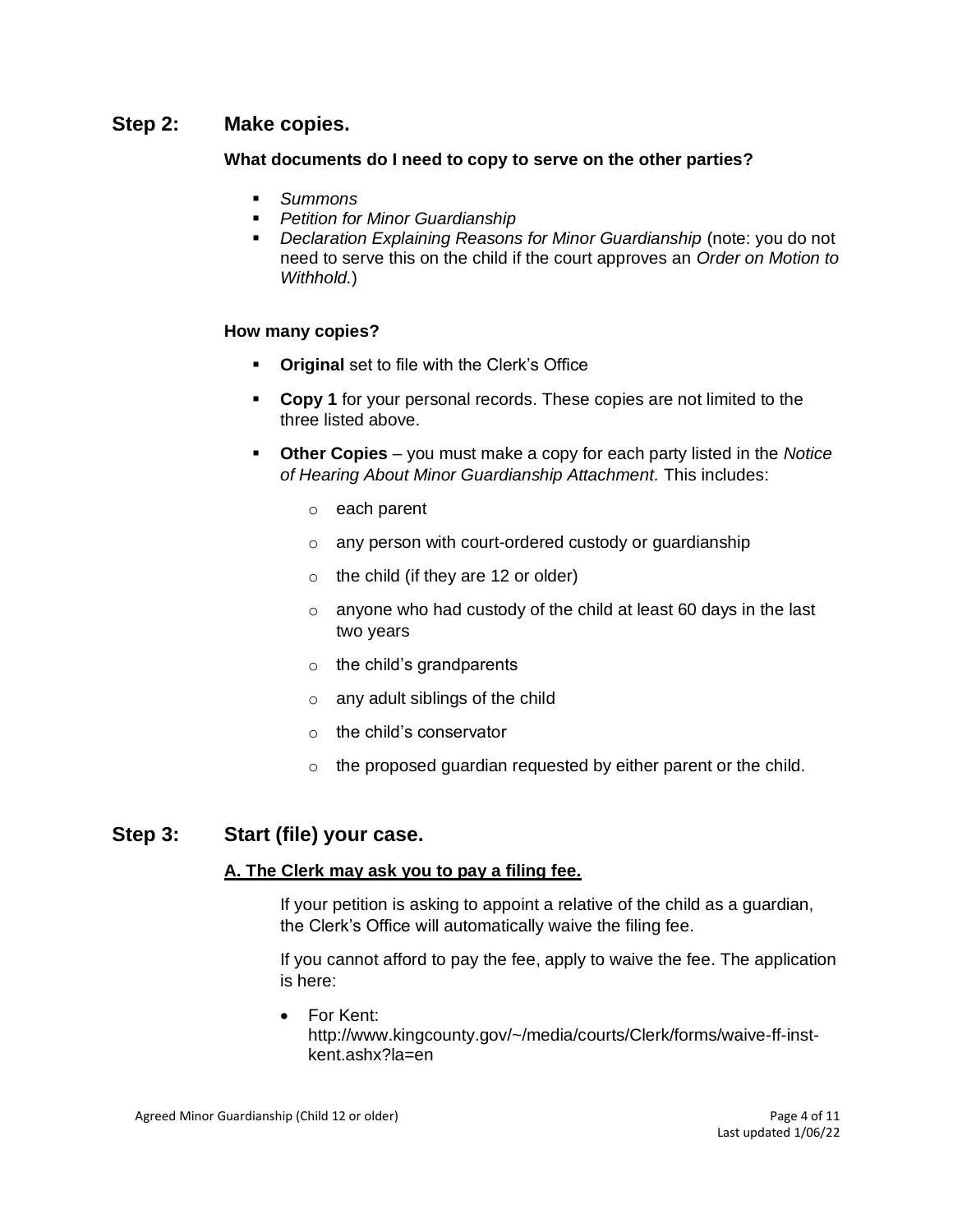#### **Step 2: Make copies.**

#### **What documents do I need to copy to serve on the other parties?**

- *Summons*
- *Petition for Minor Guardianship*
- *Declaration Explaining Reasons for Minor Guardianship* (note: you do not need to serve this on the child if the court approves an *Order on Motion to Withhold.*)

#### **How many copies?**

- **Original** set to file with the Clerk's Office
- **Copy 1** for your personal records. These copies are not limited to the three listed above.
- **Other Copies**  you must make a copy for each party listed in the *Notice of Hearing About Minor Guardianship Attachment.* This includes:
	- o each parent
	- o any person with court-ordered custody or guardianship
	- $\circ$  the child (if they are 12 or older)
	- $\circ$  anyone who had custody of the child at least 60 days in the last two years
	- $\circ$  the child's grandparents
	- o any adult siblings of the child
	- o the child's conservator
	- $\circ$  the proposed guardian requested by either parent or the child.

# **Step 3: Start (file) your case.**

#### **A. The Clerk may ask you to pay a filing fee.**

If your petition is asking to appoint a relative of the child as a guardian, the Clerk's Office will automatically waive the filing fee.

If you cannot afford to pay the fee, apply to waive the fee. The application is here:

• For [Kent:](file://///scstore/common/ERCM-FLIC/Instructions%20&%20Forms/AUG2020%20FLIC%20INSTRUCTION%20REVIEW/Kent) [http://www.kingcounty.gov/~/media/courts/Clerk/forms/waive-ff-inst](http://www.kingcounty.gov/~/media/courts/Clerk/forms/waive-ff-inst-kent.ashx?la=en)[kent.ashx?la=en](http://www.kingcounty.gov/~/media/courts/Clerk/forms/waive-ff-inst-kent.ashx?la=en)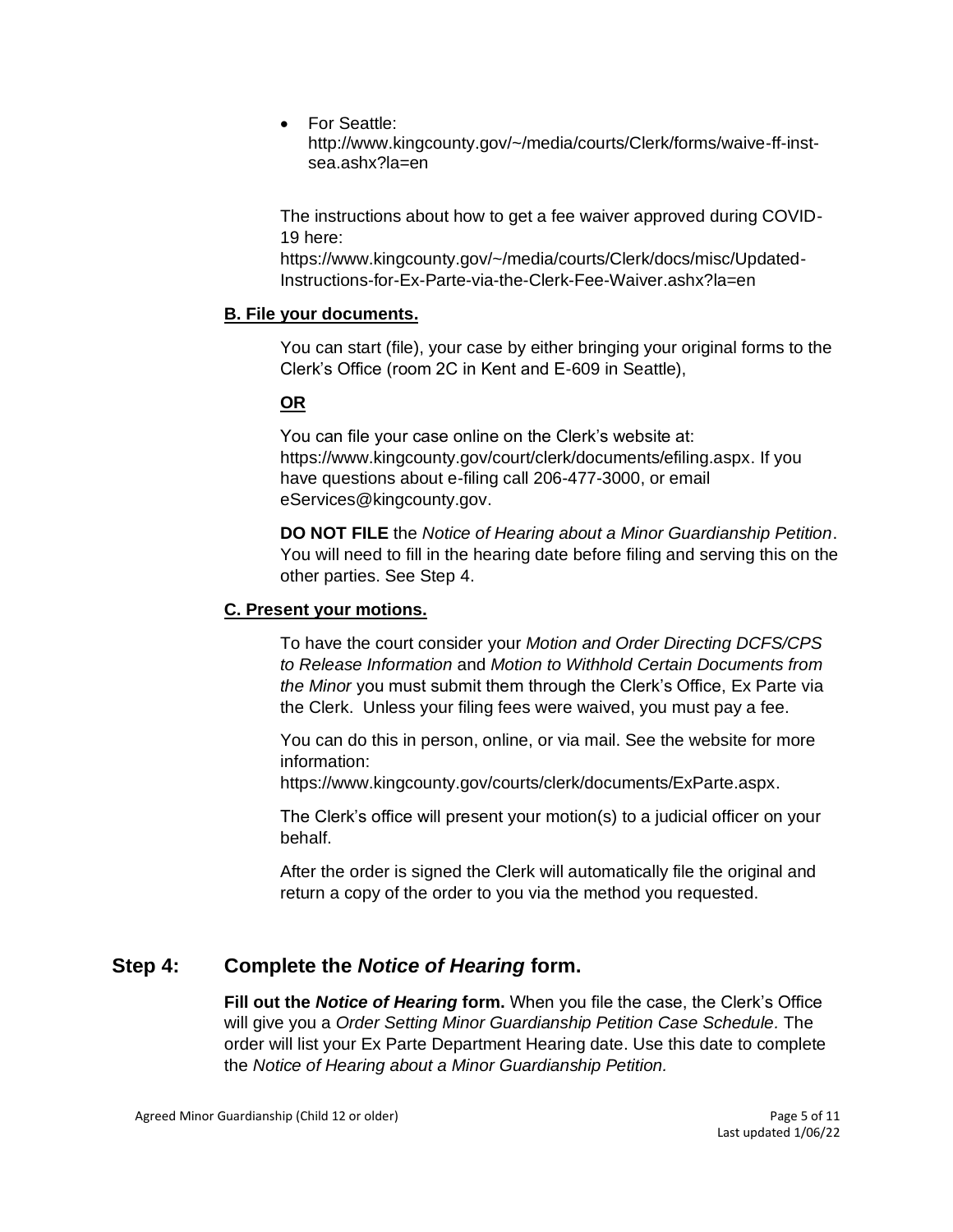• For [Seattle:](file://///scstore/common/ERCM-FLIC/Instructions%20&%20Forms/AUG2020%20FLIC%20INSTRUCTION%20REVIEW/Seattle)

[http://www.kingcounty.gov/~/media/courts/Clerk/forms/waive-ff-inst](http://www.kingcounty.gov/~/media/courts/Clerk/forms/waive-ff-inst-sea.ashx?la=en)[sea.ashx?la=en](http://www.kingcounty.gov/~/media/courts/Clerk/forms/waive-ff-inst-sea.ashx?la=en)

The instructions about how to get a fee waiver approved during COVID-19 here:

[https://www.kingcounty.gov/~/media/courts/Clerk/docs/misc/Updated-](https://www.kingcounty.gov/~/media/courts/Clerk/docs/misc/Updated-Instructions-for-Ex-Parte-via-the-Clerk-Fee-Waiver.ashx?la=en)[Instructions-for-Ex-Parte-via-the-Clerk-Fee-Waiver.ashx?la=en](https://www.kingcounty.gov/~/media/courts/Clerk/docs/misc/Updated-Instructions-for-Ex-Parte-via-the-Clerk-Fee-Waiver.ashx?la=en)

#### **B. File your documents.**

You can start (file), your case by either bringing your original forms to the Clerk's Office (room 2C in Kent and E-609 in Seattle),

#### **OR**

You can file your case online on the Clerk's website at: [https://www.kingcounty.gov/court/clerk/documents/efiling.aspx.](https://www.kingcounty.gov/court/clerk/documents/efiling.aspx) If you have questions about e-filing call 206-477-3000, or email [eServices@kingcounty.gov.](mailto:eServices@kingcounty.gov)

**DO NOT FILE** the *Notice of Hearing about a Minor Guardianship Petition*. You will need to fill in the hearing date before filing and serving this on the other parties. See Step 4.

#### **C. Present your motions.**

To have the court consider your *Motion and Order Directing DCFS/CPS to Release Information* and *Motion to Withhold Certain Documents from the Minor* you must submit them through the Clerk's Office, Ex Parte via the Clerk. Unless your filing fees were waived, you must pay a fee.

You can do this in person, online, or via mail. See the website for more information:

[https://www.kingcounty.gov/courts/clerk/documents/ExParte.aspx.](https://www.kingcounty.gov/courts/clerk/documents/ExParte.aspx)

The Clerk's office will present your motion(s) to a judicial officer on your behalf.

After the order is signed the Clerk will automatically file the original and return a copy of the order to you via the method you requested.

# **Step 4: Complete the** *Notice of Hearing* **form.**

**Fill out the** *Notice of Hearing* **form.** When you file the case, the Clerk's Office will give you a *Order Setting Minor Guardianship Petition Case Schedule.* The order will list your Ex Parte Department Hearing date. Use this date to complete the *Notice of Hearing about a Minor Guardianship Petition.*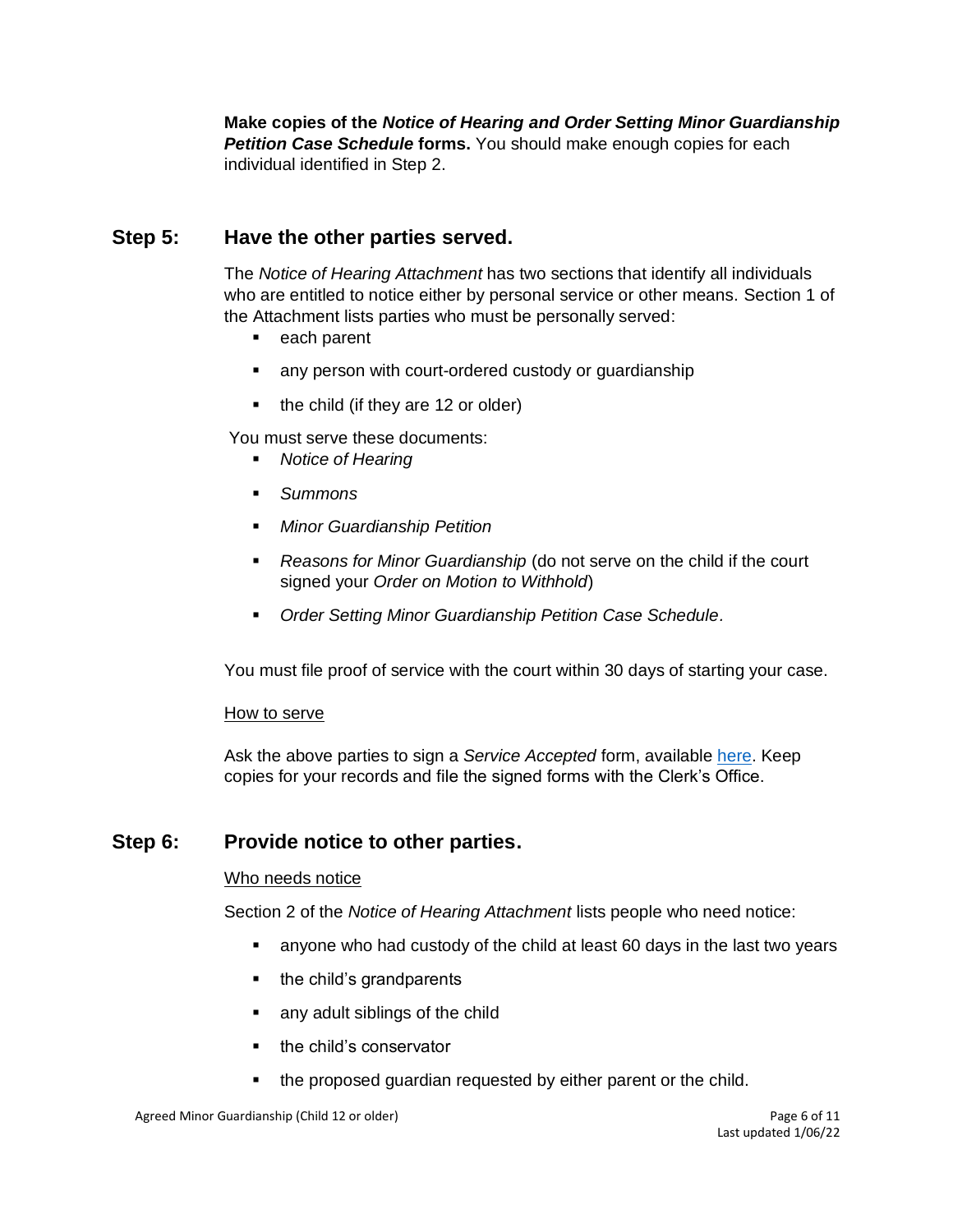**Make copies of the** *Notice of Hearing and Order Setting Minor Guardianship Petition Case Schedule forms. You should make enough copies for each* individual identified in Step 2.

# **Step 5: Have the other parties served.**

The *Notice of Hearing Attachment* has two sections that identify all individuals who are entitled to notice either by personal service or other means. Section 1 of the Attachment lists parties who must be personally served:

- each parent
- any person with court-ordered custody or guardianship
- the child (if they are 12 or older)

You must serve these documents:

- *Notice of Hearing*
- *Summons*
- *Minor Guardianship Petition*
- *Reasons for Minor Guardianship* (do not serve on the child if the court signed your *Order on Motion to Withhold*)
- *Order Setting Minor Guardianship Petition Case Schedule.*

You must file proof of service with the court within 30 days of starting your case.

#### How to serve

Ask the above parties to sign a *Service Accepted* form, available [here.](https://www.courts.wa.gov/forms/documents/FL%20All%20Family%20117%20Service%20Accepted.doc) Keep copies for your records and file the signed forms with the Clerk's Office.

#### **Step 6: Provide notice to other parties.**

#### Who needs notice

Section 2 of the *Notice of Hearing Attachment* lists people who need notice:

- anyone who had custody of the child at least 60 days in the last two years
- the child's grandparents
- any adult siblings of the child
- the child's conservator
- the proposed guardian requested by either parent or the child.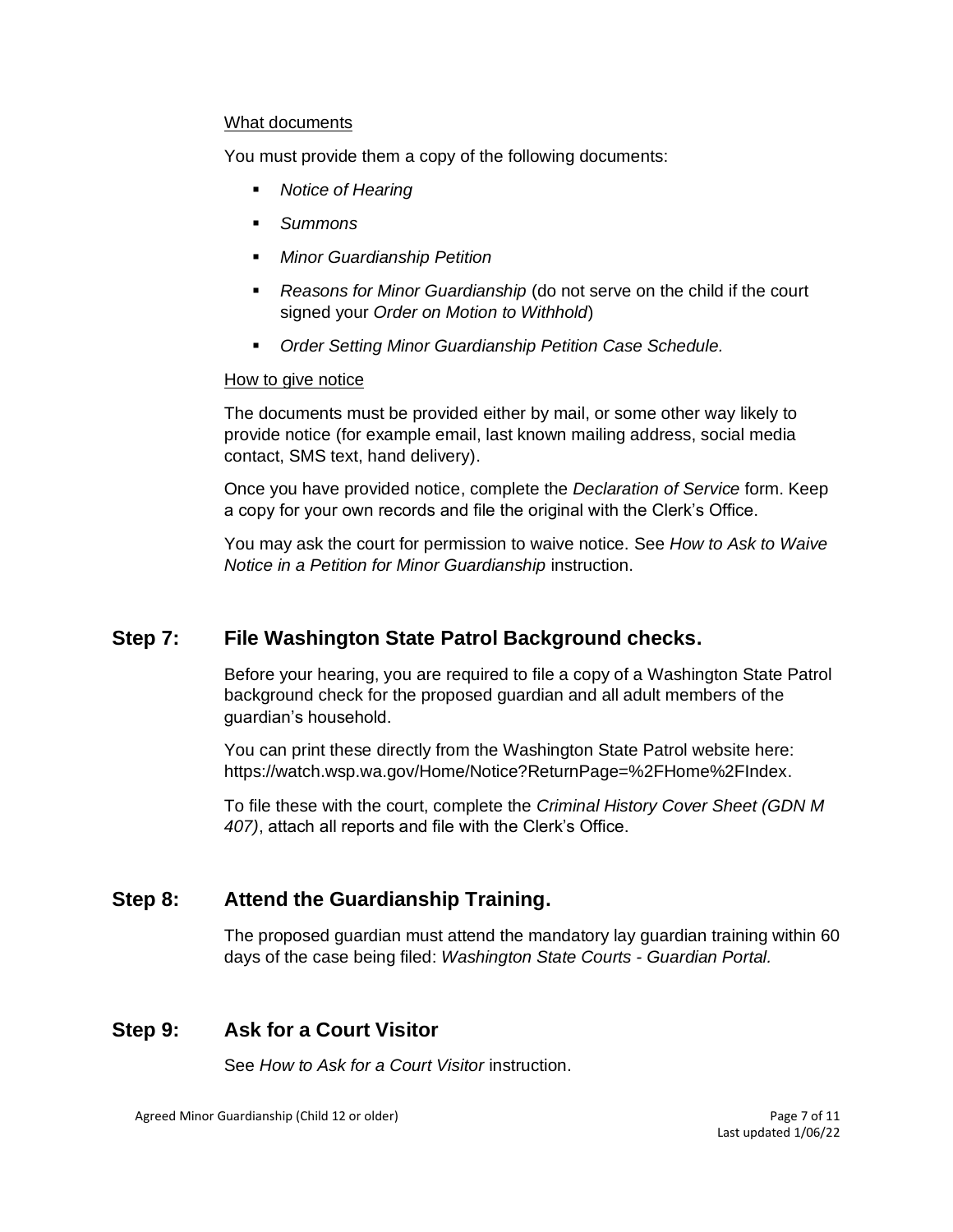#### What documents

You must provide them a copy of the following documents:

- **Notice of Hearing**
- *Summons*
- *Minor Guardianship Petition*
- *Reasons for Minor Guardianship* (do not serve on the child if the court signed your *Order on Motion to Withhold*)
- *Order Setting Minor Guardianship Petition Case Schedule.*

#### How to give notice

The documents must be provided either by mail, or some other way likely to provide notice (for example email, last known mailing address, social media contact, SMS text, hand delivery).

Once you have provided notice, complete the *[Declaration of Service](https://www.courts.wa.gov/forms/documents/GDN%2004%200850%20Decl%20of%20Service%202018%2010.doc)* form. Keep a copy for your own records and file the original with the Clerk's Office.

You may ask the court for permission to waive notice. See *How to Ask to Waive Notice in a Petition for Minor Guardianship* instruction.

# **Step 7: File Washington State Patrol Background checks.**

Before your hearing, you are required to file a copy of a Washington State Patrol background check for the proposed guardian and all adult members of the guardian's household.

You can print these directly from the Washington State Patrol website here: [https://watch.wsp.wa.gov/Home/Notice?ReturnPage=%2FHome%2FIndex.](https://watch.wsp.wa.gov/Home/Notice?ReturnPage=%2FHome%2FIndex)

To file these with the court, complete the *[Criminal History Cover Sheet \(GDN M](https://www.courts.wa.gov/forms/documents/GDN%20M%20407%20Criminal%20History%20Record%20Cover%20Sheet.pdf)  [407\)](https://www.courts.wa.gov/forms/documents/GDN%20M%20407%20Criminal%20History%20Record%20Cover%20Sheet.pdf)*, attach all reports and file with the Clerk's Office.

# **Step 8: Attend the Guardianship Training.**

The proposed guardian must attend the mandatory lay guardian training within 60 days of the case being filed: *[Washington State Courts -](https://www.courts.wa.gov/guardianportal/index.cfm?fa=guardianportal.title11minor) Guardian Portal.*

#### **Step 9: Ask for a Court Visitor**

See *How to Ask for a Court Visitor* instruction.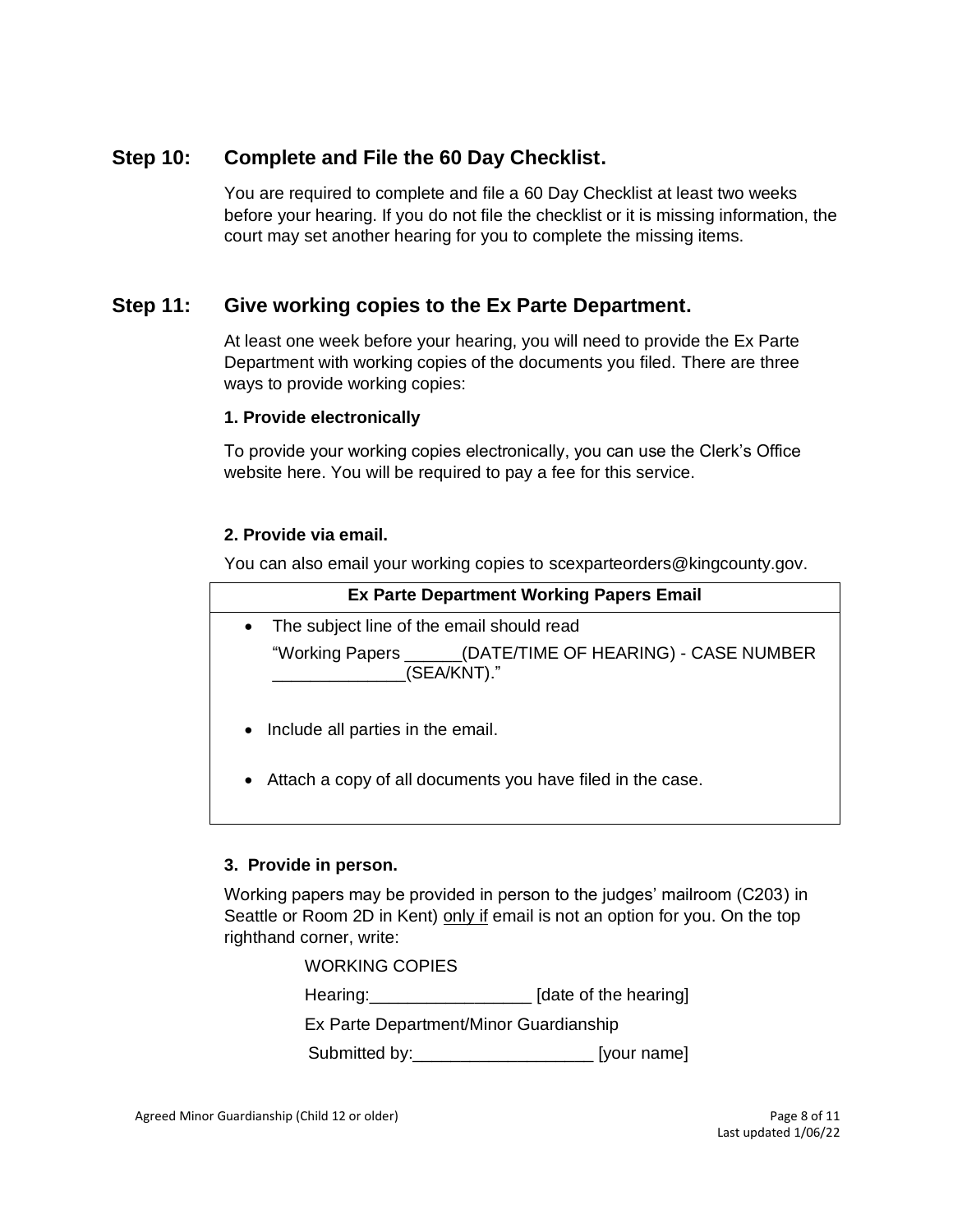# **Step 10: Complete and File the 60 Day Checklist.**

You are required to complete and file a [60 Day Checklist](https://kingcounty.gov/~/media/courts/Clerk/forms/60-day-checklist.ashx?la=en) at least two weeks before your hearing. If you do not file the checklist or it is missing information, the court may set another hearing for you to complete the missing items.

# **Step 11: Give working copies to the Ex Parte Department.**

At least one week before your hearing, you will need to provide the Ex Parte Department with working copies of the documents you filed. There are three ways to provide working copies:

#### **1. Provide electronically**

To provide your working copies electronically, you can use the Clerk's Office website [here.](https://kingcounty.gov/courts/clerk/documents/eWC.aspx) You will be required to pay a fee for this service.

#### **2. Provide via email.**

You can also email your working copies to [scexparteorders@kingcounty.gov.](mailto:scexparteorders@kingcounty.gov)

| <b>Ex Parte Department Working Papers Email</b>                           |  |  |  |
|---------------------------------------------------------------------------|--|--|--|
| The subject line of the email should read<br>$\bullet$                    |  |  |  |
| "Working Papers ______(DATE/TIME OF HEARING) - CASE NUMBER<br>(SEA/KNT)." |  |  |  |
| Include all parties in the email.<br>$\bullet$                            |  |  |  |

• Attach a copy of all documents you have filed in the case.

#### **3. Provide in person.**

Working papers may be provided in person to the judges' mailroom (C203) in Seattle or Room 2D in Kent) only if email is not an option for you. On the top righthand corner, write:

| <b>WORKING COPIES</b>                  |                       |
|----------------------------------------|-----------------------|
| Hearing: <u>_______________</u>        | [date of the hearing] |
| Ex Parte Department/Minor Guardianship |                       |
| Submitted by:                          | [your name]           |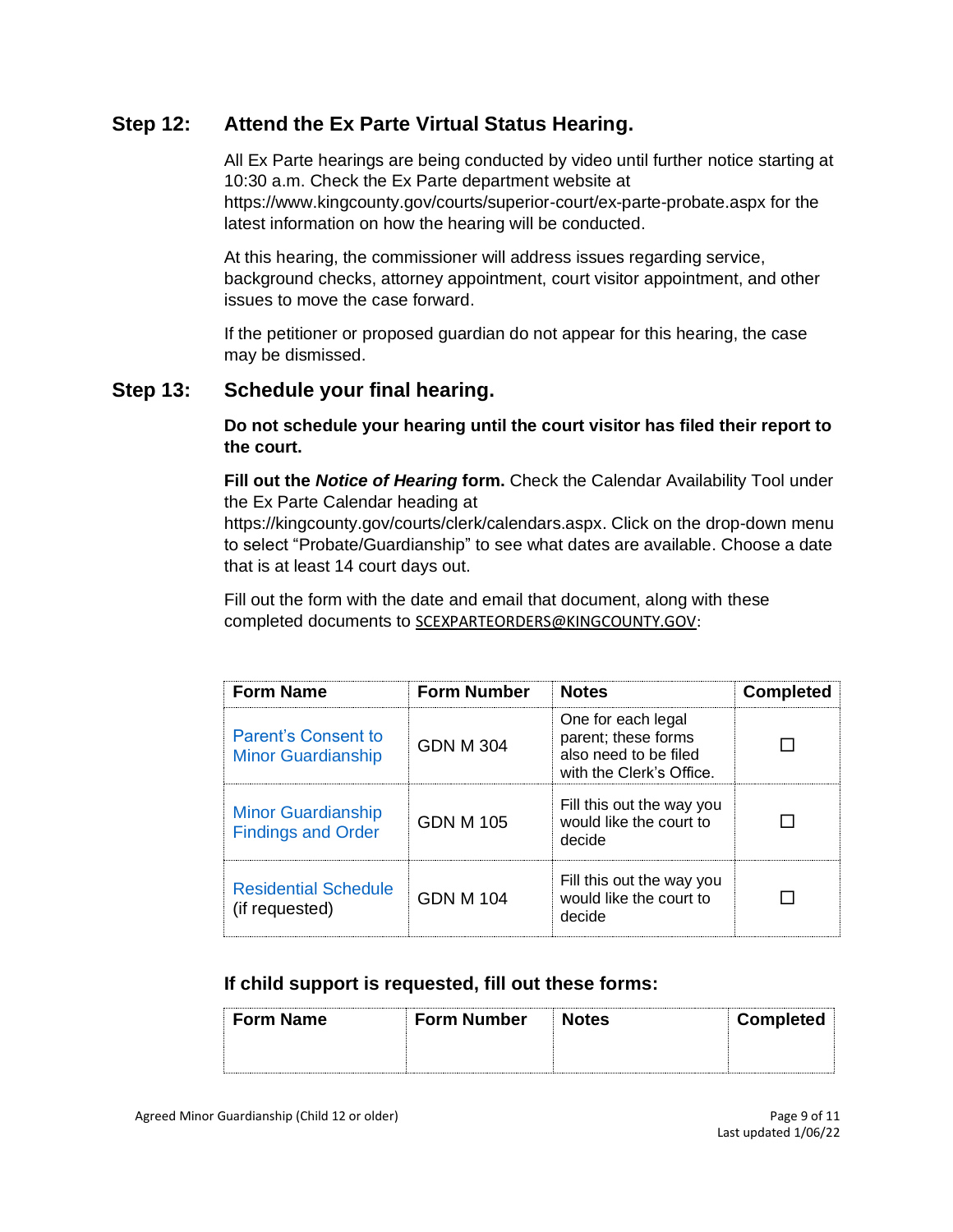# **Step 12: Attend the Ex Parte Virtual Status Hearing.**

All Ex Parte hearings are being conducted by video until further notice starting at 10:30 a.m. Check the Ex Parte department website at <https://www.kingcounty.gov/courts/superior-court/ex-parte-probate.aspx> for the latest information on how the hearing will be conducted.

At this hearing, the commissioner will address issues regarding service, background checks, attorney appointment, court visitor appointment, and other issues to move the case forward.

If the petitioner or proposed guardian do not appear for this hearing, the case may be dismissed.

### **Step 13: Schedule your final hearing.**

**Do not schedule your hearing until the court visitor has filed their report to the court.**

**Fill out the** *Notice of Hearing* **form.** Check the Calendar Availability Tool under the Ex Parte Calendar heading at

[https://kingcounty.gov/courts/clerk/calendars.aspx.](https://kingcounty.gov/courts/clerk/calendars.aspx) Click on the drop-down menu to select "Probate/Guardianship" to see what dates are available. Choose a date that is at least 14 court days out.

Fill out the form with the date and email that document, along with these completed documents to [SCEXPARTEORDERS@KINGCOUNTY.GOV:](mailto:SCEXPARTEORDERS@KINGCOUNTY.GOV)

| <b>Form Name</b>                                       | <b>Form Number</b> | <b>Notes</b>                                                                                   | <b>Completed</b> |
|--------------------------------------------------------|--------------------|------------------------------------------------------------------------------------------------|------------------|
| Parent's Consent to<br><b>Minor Guardianship</b>       | <b>GDN M 304</b>   | One for each legal<br>parent; these forms<br>also need to be filed<br>with the Clerk's Office. |                  |
| <b>Minor Guardianship</b><br><b>Findings and Order</b> | GDN M 105          | Fill this out the way you<br>would like the court to<br>decide                                 |                  |
| <b>Residential Schedule</b><br>(if requested)          | GDN M 104          | Fill this out the way you<br>would like the court to<br>decide                                 |                  |

#### **If child support is requested, fill out these forms:**

| <b>Form Name</b> | ⊪ Form Number | <b>NOtes</b> | <b>Jompleted</b> |
|------------------|---------------|--------------|------------------|
|                  |               |              |                  |
|                  |               |              |                  |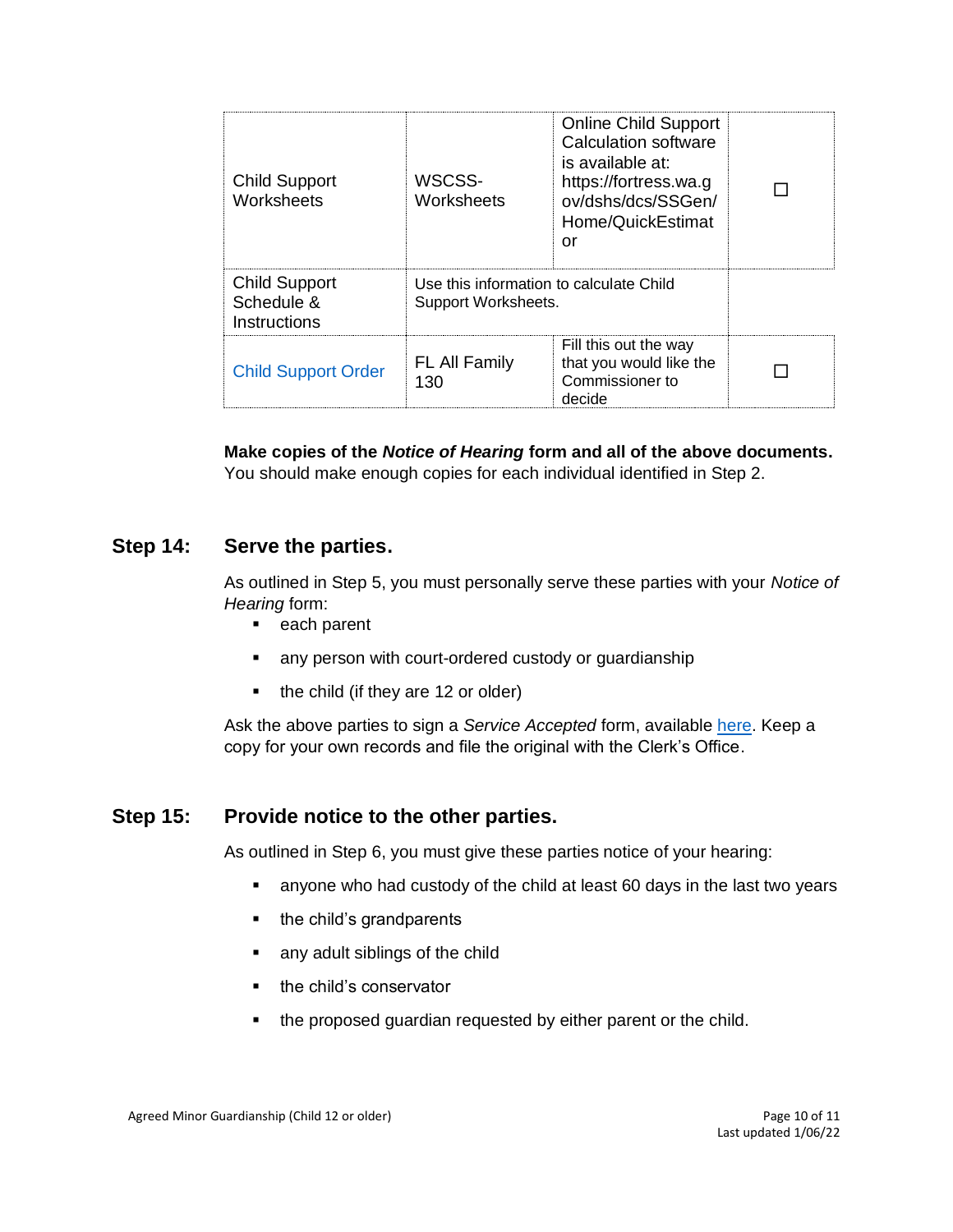| <b>Child Support</b><br>Worksheets                        | WSCSS-<br>Worksheets                                           | <b>Online Child Support</b><br>Calculation software<br>is available at:<br>https://fortress.wa.g<br>ov/dshs/dcs/SSGen/<br>Home/QuickEstimat<br>or |  |
|-----------------------------------------------------------|----------------------------------------------------------------|---------------------------------------------------------------------------------------------------------------------------------------------------|--|
| <b>Child Support</b><br>Schedule &<br><b>Instructions</b> | Use this information to calculate Child<br>Support Worksheets. |                                                                                                                                                   |  |
| <b>Child Support Order</b>                                | <b>FL All Family</b><br>130                                    | Fill this out the way<br>that you would like the<br>Commissioner to<br>decide                                                                     |  |

**Make copies of the** *Notice of Hearing* **form and all of the above documents.**  You should make enough copies for each individual identified in Step 2.

### **Step 14: Serve the parties.**

As outlined in Step 5, you must personally serve these parties with your *Notice of Hearing* form:

- each parent
- any person with court-ordered custody or guardianship
- the child (if they are 12 or older)

Ask the above parties to sign a *Service Accepted* form, available [here.](https://www.courts.wa.gov/forms/documents/FL%20All%20Family%20117%20Service%20Accepted.doc) Keep a copy for your own records and file the original with the Clerk's Office.

#### **Step 15: Provide notice to the other parties.**

As outlined in Step 6, you must give these parties notice of your hearing:

- anyone who had custody of the child at least 60 days in the last two years
- the child's grandparents
- any adult siblings of the child
- the child's conservator
- the proposed guardian requested by either parent or the child.